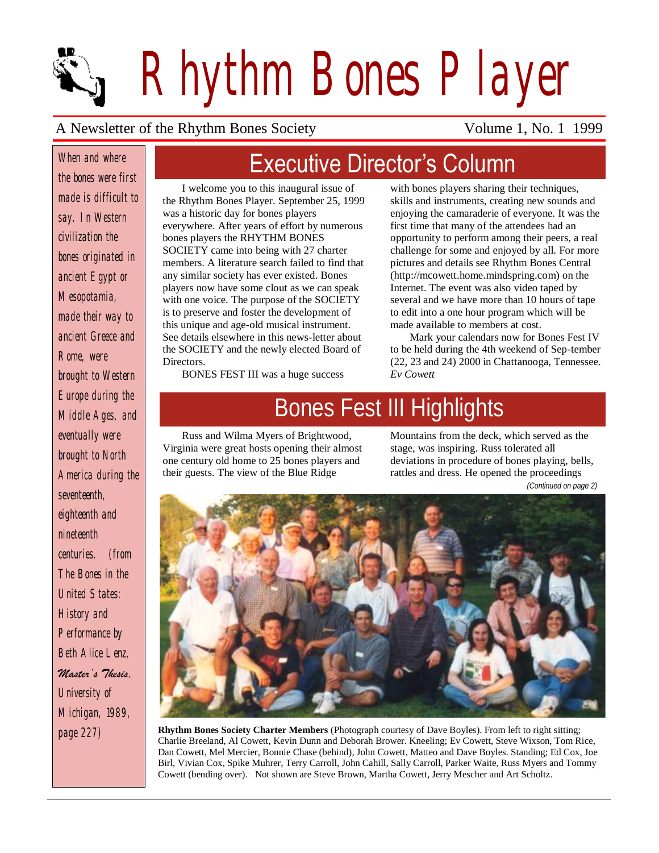*Rhythm Bones Player*

### A Newsletter of the Rhythm Bones Society Volume 1, No. 1 1999

*When and where the bones were first made is difficult to say. In Western civilization the bones originated in ancient Egypt or Mesopotamia, made their way to ancient Greece and Rome, were brought to Western Europe during the Middle Ages, and eventually were brought to North America during the seventeenth, eighteenth and nineteenth centuries. (from The Bones in the United States: History and Performance by Beth Alice Lenz, Master's Thesis, University of* 

*Michigan, 1989, page 227)*

# Executive Director's Column

I welcome you to this inaugural issue of the Rhythm Bones Player. September 25, 1999 was a historic day for bones players everywhere. After years of effort by numerous bones players the RHYTHM BONES SOCIETY came into being with 27 charter members. A literature search failed to find that any similar society has ever existed. Bones players now have some clout as we can speak with one voice. The purpose of the SOCIETY is to preserve and foster the development of this unique and age-old musical instrument. See details elsewhere in this news-letter about the SOCIETY and the newly elected Board of **Directors** 

BONES FEST III was a huge success

with bones players sharing their techniques, skills and instruments, creating new sounds and enjoying the camaraderie of everyone. It was the first time that many of the attendees had an opportunity to perform among their peers, a real challenge for some and enjoyed by all. For more pictures and details see Rhythm Bones Central (http://mcowett.home.mindspring.com) on the Internet. The event was also video taped by several and we have more than 10 hours of tape to edit into a one hour program which will be made available to members at cost.

Mark your calendars now for Bones Fest IV to be held during the 4th weekend of Sep-tember (22, 23 and 24) 2000 in Chattanooga, Tennessee. *Ev Cowett*

# Bones Fest III Highlights

Russ and Wilma Myers of Brightwood, Virginia were great hosts opening their almost one century old home to 25 bones players and their guests. The view of the Blue Ridge

Mountains from the deck, which served as the stage, was inspiring. Russ tolerated all deviations in procedure of bones playing, bells, rattles and dress. He opened the proceedings

*(Continued on page 2)*



**Rhythm Bones Society Charter Members** (Photograph courtesy of Dave Boyles). From left to right sitting; Charlie Breeland, Al Cowett, Kevin Dunn and Deborah Brower. Kneeling; Ev Cowett, Steve Wixson, Tom Rice, Dan Cowett, Mel Mercier, Bonnie Chase (behind), John Cowett, Matteo and Dave Boyles. Standing; Ed Cox, Joe Birl, Vivian Cox, Spike Muhrer, Terry Carroll, John Cahill, Sally Carroll, Parker Waite, Russ Myers and Tommy Cowett (bending over). Not shown are Steve Brown, Martha Cowett, Jerry Mescher and Art Scholtz.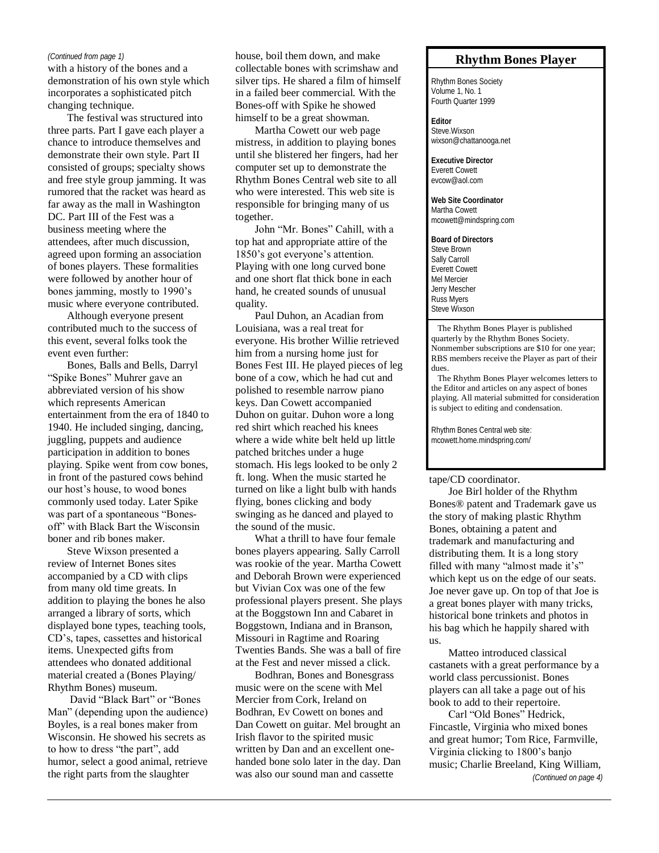#### *(Continued from page 1)*

with a history of the bones and a demonstration of his own style which incorporates a sophisticated pitch changing technique.

The festival was structured into three parts. Part I gave each player a chance to introduce themselves and demonstrate their own style. Part II consisted of groups; specialty shows and free style group jamming. It was rumored that the racket was heard as far away as the mall in Washington DC. Part III of the Fest was a business meeting where the attendees, after much discussion, agreed upon forming an association of bones players. These formalities were followed by another hour of bones jamming, mostly to 1990's music where everyone contributed.

Although everyone present contributed much to the success of this event, several folks took the event even further:

Bones, Balls and Bells, Darryl "Spike Bones" Muhrer gave an abbreviated version of his show which represents American entertainment from the era of 1840 to 1940. He included singing, dancing, juggling, puppets and audience participation in addition to bones playing. Spike went from cow bones, in front of the pastured cows behind our host's house, to wood bones commonly used today. Later Spike was part of a spontaneous "Bonesoff" with Black Bart the Wisconsin boner and rib bones maker.

Steve Wixson presented a review of Internet Bones sites accompanied by a CD with clips from many old time greats. In addition to playing the bones he also arranged a library of sorts, which displayed bone types, teaching tools, CD's, tapes, cassettes and historical items. Unexpected gifts from attendees who donated additional material created a (Bones Playing/ Rhythm Bones) museum.

David "Black Bart" or "Bones Man" (depending upon the audience) Boyles, is a real bones maker from Wisconsin. He showed his secrets as to how to dress "the part", add humor, select a good animal, retrieve the right parts from the slaughter

house, boil them down, and make collectable bones with scrimshaw and silver tips. He shared a film of himself in a failed beer commercial. With the Bones-off with Spike he showed himself to be a great showman.

Martha Cowett our web page mistress, in addition to playing bones until she blistered her fingers, had her computer set up to demonstrate the Rhythm Bones Central web site to all who were interested. This web site is responsible for bringing many of us together.

John "Mr. Bones" Cahill, with a top hat and appropriate attire of the 1850's got everyone's attention. Playing with one long curved bone and one short flat thick bone in each hand, he created sounds of unusual quality.

Paul Duhon, an Acadian from Louisiana, was a real treat for everyone. His brother Willie retrieved him from a nursing home just for Bones Fest III. He played pieces of leg bone of a cow, which he had cut and polished to resemble narrow piano keys. Dan Cowett accompanied Duhon on guitar. Duhon wore a long red shirt which reached his knees where a wide white belt held up little patched britches under a huge stomach. His legs looked to be only 2 ft. long. When the music started he turned on like a light bulb with hands flying, bones clicking and body swinging as he danced and played to the sound of the music.

What a thrill to have four female bones players appearing. Sally Carroll was rookie of the year. Martha Cowett and Deborah Brown were experienced but Vivian Cox was one of the few professional players present. She plays at the Boggstown Inn and Cabaret in Boggstown, Indiana and in Branson, Missouri in Ragtime and Roaring Twenties Bands. She was a ball of fire at the Fest and never missed a click.

Bodhran, Bones and Bonesgrass music were on the scene with Mel Mercier from Cork, Ireland on Bodhran, Ev Cowett on bones and Dan Cowett on guitar. Mel brought an Irish flavor to the spirited music written by Dan and an excellent onehanded bone solo later in the day. Dan was also our sound man and cassette

### **Rhythm Bones Player**

Rhythm Bones Society Volume 1, No. 1 Fourth Quarter 1999

**Editor** Steve Wixson wixson@chattanooga.net

**Executive Director** Everett Cowett evcow@aol.com

**Web Site Coordinator** Martha Cowett mcowett@mindspring.com

**Board of Directors** Steve Brown Sally Carroll Everett Cowett Mel Mercier Jerry Mescher Russ Myers Steve Wixson

 The Rhythm Bones Player is published quarterly by the Rhythm Bones Society. Nonmember subscriptions are \$10 for one year; RBS members receive the Player as part of their dues.

 The Rhythm Bones Player welcomes letters to the Editor and articles on any aspect of bones playing. All material submitted for consideration is subject to editing and condensation.

Rhythm Bones Central web site: mcowett.home.mindspring.com/

### tape/CD coordinator.

Joe Birl holder of the Rhythm Bones® patent and Trademark gave us the story of making plastic Rhythm Bones, obtaining a patent and trademark and manufacturing and distributing them. It is a long story filled with many "almost made it's" which kept us on the edge of our seats. Joe never gave up. On top of that Joe is a great bones player with many tricks, historical bone trinkets and photos in his bag which he happily shared with us.

Matteo introduced classical castanets with a great performance by a world class percussionist. Bones players can all take a page out of his book to add to their repertoire.

Carl "Old Bones" Hedrick, Fincastle, Virginia who mixed bones and great humor; Tom Rice, Farmville, Virginia clicking to 1800's banjo music; Charlie Breeland, King William,

*(Continued on page 4)*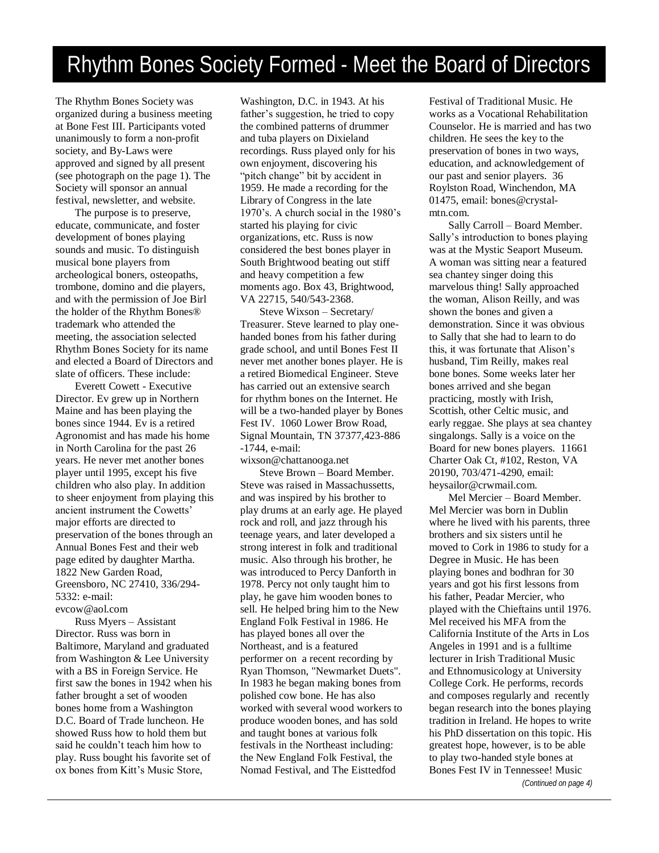## Rhythm Bones Society Formed - Meet the Board of Directors

The Rhythm Bones Society was organized during a business meeting at Bone Fest III. Participants voted unanimously to form a non-profit society, and By-Laws were approved and signed by all present (see photograph on the page 1). The Society will sponsor an annual festival, newsletter, and website.

The purpose is to preserve, educate, communicate, and foster development of bones playing sounds and music. To distinguish musical bone players from archeological boners, osteopaths, trombone, domino and die players, and with the permission of Joe Birl the holder of the Rhythm Bones® trademark who attended the meeting, the association selected Rhythm Bones Society for its name and elected a Board of Directors and slate of officers. These include:

Everett Cowett - Executive Director. Ev grew up in Northern Maine and has been playing the bones since 1944. Ev is a retired Agronomist and has made his home in North Carolina for the past 26 years. He never met another bones player until 1995, except his five children who also play. In addition to sheer enjoyment from playing this ancient instrument the Cowetts' major efforts are directed to preservation of the bones through an Annual Bones Fest and their web page edited by daughter Martha. 1822 New Garden Road, Greensboro, NC 27410, 336/294- 5332: e-mail: evcow@aol.com

Russ Myers – Assistant Director. Russ was born in Baltimore, Maryland and graduated from Washington & Lee University with a BS in Foreign Service. He first saw the bones in 1942 when his father brought a set of wooden bones home from a Washington D.C. Board of Trade luncheon. He showed Russ how to hold them but said he couldn't teach him how to play. Russ bought his favorite set of ox bones from Kitt's Music Store,

Washington, D.C. in 1943. At his father's suggestion, he tried to copy the combined patterns of drummer and tuba players on Dixieland recordings. Russ played only for his own enjoyment, discovering his "pitch change" bit by accident in 1959. He made a recording for the Library of Congress in the late 1970's. A church social in the 1980's started his playing for civic organizations, etc. Russ is now considered the best bones player in South Brightwood beating out stiff and heavy competition a few moments ago. Box 43, Brightwood, VA 22715, 540/543-2368.

Steve Wixson – Secretary/ Treasurer. Steve learned to play onehanded bones from his father during grade school, and until Bones Fest II never met another bones player. He is a retired Biomedical Engineer. Steve has carried out an extensive search for rhythm bones on the Internet. He will be a two-handed player by Bones Fest IV. 1060 Lower Brow Road, Signal Mountain, TN 37377,423-886 -1744, e-mail: wixson@chattanooga.net

Steve Brown – Board Member. Steve was raised in Massachussetts, and was inspired by his brother to play drums at an early age. He played rock and roll, and jazz through his teenage years, and later developed a strong interest in folk and traditional music. Also through his brother, he was introduced to Percy Danforth in 1978. Percy not only taught him to play, he gave him wooden bones to sell. He helped bring him to the New England Folk Festival in 1986. He has played bones all over the Northeast, and is a featured performer on a recent recording by Ryan Thomson, "Newmarket Duets". In 1983 he began making bones from polished cow bone. He has also worked with several wood workers to produce wooden bones, and has sold and taught bones at various folk festivals in the Northeast including: the New England Folk Festival, the Nomad Festival, and The Eisttedfod

Festival of Traditional Music. He works as a Vocational Rehabilitation Counselor. He is married and has two children. He sees the key to the preservation of bones in two ways, education, and acknowledgement of our past and senior players. 36 Roylston Road, Winchendon, MA 01475, email: bones@crystalmtn.com.

Sally Carroll – Board Member. Sally's introduction to bones playing was at the Mystic Seaport Museum. A woman was sitting near a featured sea chantey singer doing this marvelous thing! Sally approached the woman, Alison Reilly, and was shown the bones and given a demonstration. Since it was obvious to Sally that she had to learn to do this, it was fortunate that Alison's husband, Tim Reilly, makes real bone bones. Some weeks later her bones arrived and she began practicing, mostly with Irish, Scottish, other Celtic music, and early reggae. She plays at sea chantey singalongs. Sally is a voice on the Board for new bones players. 11661 Charter Oak Ct, #102, Reston, VA 20190, 703/471-4290, email: heysailor@crwmail.com.

Mel Mercier – Board Member. Mel Mercier was born in Dublin where he lived with his parents, three brothers and six sisters until he moved to Cork in 1986 to study for a Degree in Music. He has been playing bones and bodhran for 30 years and got his first lessons from his father, Peadar Mercier, who played with the Chieftains until 1976. Mel received his MFA from the California Institute of the Arts in Los Angeles in 1991 and is a fulltime lecturer in Irish Traditional Music and Ethnomusicology at University College Cork. He performs, records and composes regularly and recently began research into the bones playing tradition in Ireland. He hopes to write his PhD dissertation on this topic. His greatest hope, however, is to be able to play two-handed style bones at Bones Fest IV in Tennessee! Music *(Continued on page 4)*